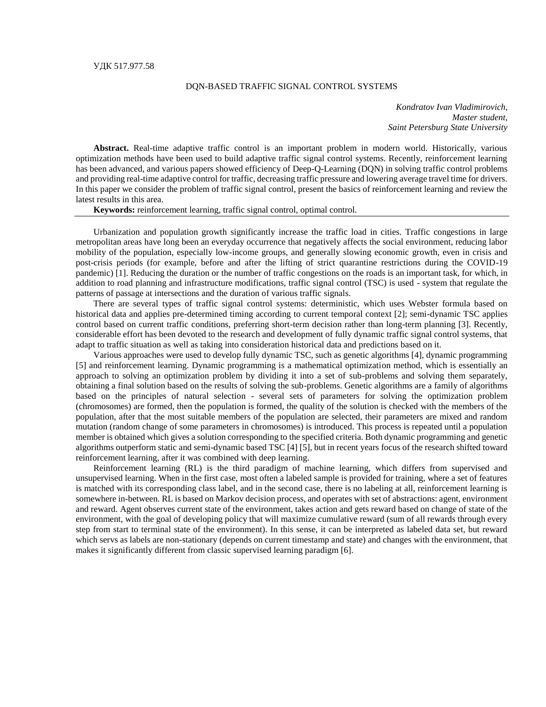## DQN-BASED TRAFFIC SIGNAL CONTROL SYSTEMS

*Kondratov Ivan Vladimirovich, Master student, Saint Petersburg State University*

**Abstract.** Real-time adaptive traffic control is an important problem in modern world. Historically, various optimization methods have been used to build adaptive traffic signal control systems. Recently, reinforcement learning has been advanced, and various papers showed efficiency of Deep-Q-Learning (DQN) in solving traffic control problems and providing real-time adaptive control for traffic, decreasing traffic pressure and lowering average travel time for drivers. In this paper we consider the problem of traffic signal control, present the basics of reinforcement learning and review the latest results in this area.

**Keywords:** reinforcement learning, traffic signal control, optimal control.

Urbanization and population growth significantly increase the traffic load in cities. Traffic congestions in large metropolitan areas have long been an everyday occurrence that negatively affects the social environment, reducing labor mobility of the population, especially low-income groups, and generally slowing economic growth, even in crisis and post-crisis periods (for example, before and after the lifting of strict quarantine restrictions during the COVID-19 pandemic) [1]. Reducing the duration or the number of traffic congestions on the roads is an important task, for which, in addition to road planning and infrastructure modifications, traffic signal control (TSC) is used - system that regulate the patterns of passage at intersections and the duration of various traffic signals.

There are several types of traffic signal control systems: deterministic, which uses Webster formula based on historical data and applies pre-determined timing according to current temporal context [2]; semi-dynamic TSC applies control based on current traffic conditions, preferring short-term decision rather than long-term planning [3]. Recently, considerable effort has been devoted to the research and development of fully dynamic traffic signal control systems, that adapt to traffic situation as well as taking into consideration historical data and predictions based on it.

Various approaches were used to develop fully dynamic TSC, such as genetic algorithms [4], dynamic programming [5] and reinforcement learning. Dynamic programming is a mathematical optimization method, which is essentially an approach to solving an optimization problem by dividing it into a set of sub-problems and solving them separately, obtaining a final solution based on the results of solving the sub-problems. Genetic algorithms are a family of algorithms based on the principles of natural selection - several sets of parameters for solving the optimization problem (chromosomes) are formed, then the population is formed, the quality of the solution is checked with the members of the population, after that the most suitable members of the population are selected, their parameters are mixed and random mutation (random change of some parameters in chromosomes) is introduced. This process is repeated until a population member is obtained which gives a solution corresponding to the specified criteria. Both dynamic programming and genetic algorithms outperform static and semi-dynamic based TSC [4] [5], but in recent years focus of the research shifted toward reinforcement learning, after it was combined with deep learning.

Reinforcement learning (RL) is the third paradigm of machine learning, which differs from supervised and unsupervised learning. When in the first case, most often a labeled sample is provided for training, where a set of features is matched with its corresponding class label, and in the second case, there is no labeling at all, reinforcement learning is somewhere in-between. RL is based on Markov decision process, and operates with set of abstractions: agent, environment and reward. Agent observes current state of the environment, takes action and gets reward based on change of state of the environment, with the goal of developing policy that will maximize cumulative reward (sum of all rewards through every step from start to terminal state of the environment). In this sense, it can be interpreted as labeled data set, but reward which servs as labels are non-stationary (depends on current timestamp and state) and changes with the environment, that makes it significantly different from classic supervised learning paradigm [6].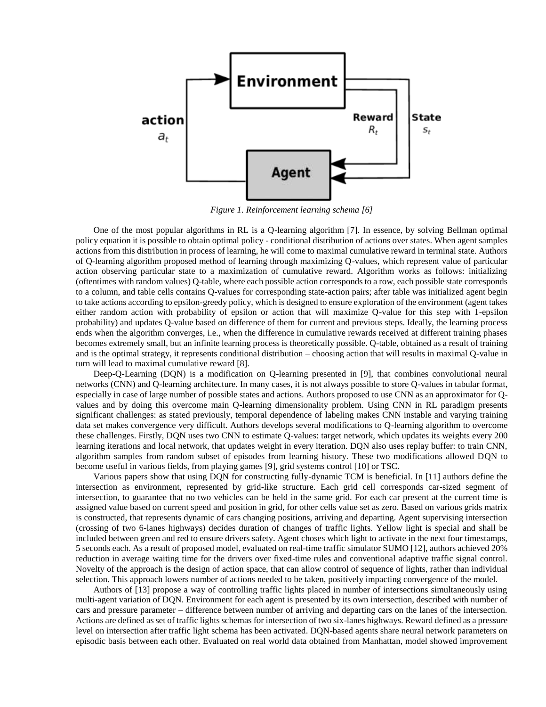

*Figure 1. Reinforcement learning schema [6]*

One of the most popular algorithms in RL is a Q-learning algorithm [7]. In essence, by solving Bellman optimal policy equation it is possible to obtain optimal policy - conditional distribution of actions over states. When agent samples actions from this distribution in process of learning, he will come to maximal cumulative reward in terminal state. Authors of Q-learning algorithm proposed method of learning through maximizing Q-values, which represent value of particular action observing particular state to a maximization of cumulative reward. Algorithm works as follows: initializing (oftentimes with random values) Q-table, where each possible action corresponds to a row, each possible state corresponds to a column, and table cells contains Q-values for corresponding state-action pairs; after table was initialized agent begin to take actions according to epsilon-greedy policy, which is designed to ensure exploration of the environment (agent takes either random action with probability of epsilon or action that will maximize Q-value for this step with 1-epsilon probability) and updates Q-value based on difference of them for current and previous steps. Ideally, the learning process ends when the algorithm converges, i.e., when the difference in cumulative rewards received at different training phases becomes extremely small, but an infinite learning process is theoretically possible. Q-table, obtained as a result of training and is the optimal strategy, it represents conditional distribution – choosing action that will results in maximal Q-value in turn will lead to maximal cumulative reward [8].

Deep-Q-Learning (DQN) is a modification on Q-learning presented in [9], that combines convolutional neural networks (CNN) and Q-learning architecture. In many cases, it is not always possible to store Q-values in tabular format, especially in case of large number of possible states and actions. Authors proposed to use CNN as an approximator for Qvalues and by doing this overcome main Q-learning dimensionality problem. Using CNN in RL paradigm presents significant challenges: as stated previously, temporal dependence of labeling makes CNN instable and varying training data set makes convergence very difficult. Authors develops several modifications to Q-learning algorithm to overcome these challenges. Firstly, DQN uses two CNN to estimate Q-values: target network, which updates its weights every 200 learning iterations and local network, that updates weight in every iteration. DQN also uses replay buffer: to train CNN, algorithm samples from random subset of episodes from learning history. These two modifications allowed DQN to become useful in various fields, from playing games [9], grid systems control [10] or TSC.

Various papers show that using DQN for constructing fully-dynamic TCM is beneficial. In [11] authors define the intersection as environment, represented by grid-like structure. Each grid cell corresponds car-sized segment of intersection, to guarantee that no two vehicles can be held in the same grid. For each car present at the current time is assigned value based on current speed and position in grid, for other cells value set as zero. Based on various grids matrix is constructed, that represents dynamic of cars changing positions, arriving and departing. Agent supervising intersection (crossing of two 6-lanes highways) decides duration of changes of traffic lights. Yellow light is special and shall be included between green and red to ensure drivers safety. Agent choses which light to activate in the next four timestamps, 5 seconds each. As a result of proposed model, evaluated on real-time traffic simulator SUMO [12], authors achieved 20% reduction in average waiting time for the drivers over fixed-time rules and conventional adaptive traffic signal control. Novelty of the approach is the design of action space, that can allow control of sequence of lights, rather than individual selection. This approach lowers number of actions needed to be taken, positively impacting convergence of the model.

Authors of [13] propose a way of controlling traffic lights placed in number of intersections simultaneously using multi-agent variation of DQN. Environment for each agent is presented by its own intersection, described with number of cars and pressure parameter – difference between number of arriving and departing cars on the lanes of the intersection. Actions are defined as set of traffic lights schemas for intersection of two six-lanes highways. Reward defined as a pressure level on intersection after traffic light schema has been activated. DQN-based agents share neural network parameters on episodic basis between each other. Evaluated on real world data obtained from Manhattan, model showed improvement